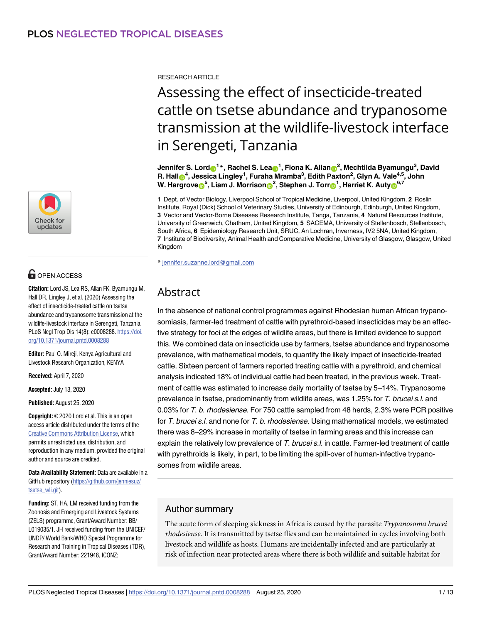

# **OPEN ACCESS**

**Citation:** Lord JS, Lea RS, Allan FK, Byamungu M, Hall DR, Lingley J, et al. (2020) Assessing the effect of insecticide-treated cattle on tsetse abundance and trypanosome transmission at the wildlife-livestock interface in Serengeti, Tanzania. PLoS Negl Trop Dis 14(8): e0008288. [https://doi.](https://doi.org/10.1371/journal.pntd.0008288) [org/10.1371/journal.pntd.0008288](https://doi.org/10.1371/journal.pntd.0008288)

**Editor:** Paul O. Mireji, Kenya Agricultural and Livestock Research Organization, KENYA

**Received:** April 7, 2020

**Accepted:** July 13, 2020

**Published:** August 25, 2020

**Copyright:** © 2020 Lord et al. This is an open access article distributed under the terms of the Creative Commons [Attribution](http://creativecommons.org/licenses/by/4.0/) License, which permits unrestricted use, distribution, and reproduction in any medium, provided the original author and source are credited.

**Data Availability Statement:** Data are available in a GitHub repository ([https://github.com/jenniesuz/](https://github.com/jenniesuz/tsetse_wli.git) [tsetse\\_wli.git\)](https://github.com/jenniesuz/tsetse_wli.git).

**Funding:** ST, HA, LM received funding from the Zoonosis and Emerging and Livestock Systems (ZELS) programme, Grant/Award Number: BB/ L019035/1. JH received funding from the UNICEF/ UNDP/ World Bank/WHO Special Programme for Research and Training in Tropical Diseases (TDR), Grant/Award Number: 221948, ICONZ;

RESEARCH ARTICLE

# Assessing the effect of insecticide-treated cattle on tsetse abundance and trypanosome transmission at the wildlife-livestock interface in Serengeti, Tanzania

Jennifer S. Lord⊕<sup>1</sup>\*, Rachel S. Lea<mark>⊕</mark><sup>1</sup>, Fiona K. Allan<mark>⊜</mark><sup>2</sup>, Mechtilda Byamungu<sup>3</sup>, David **R. Hal[lID](http://orcid.org/0000-0002-7887-466X)4 , Jessica Lingley1 , Furaha Mramba3 , Edith Paxton2 , Glyn A. Vale4,5, John**  $\blacksquare$  **W.** Hargrove $\blacksquare^5$ , Liam J. Morrison $\blacksquare^2$ , Stephen J. Torr $\blacksquare^1$ , Harriet K. Auty $\blacksquare^{6,7}$ 

**1** Dept. of Vector Biology, Liverpool School of Tropical Medicine, Liverpool, United Kingdom, **2** Roslin Institute, Royal (Dick) School of Veterinary Studies, University of Edinburgh, Edinburgh, United Kingdom, **3** Vector and Vector-Borne Diseases Research Institute, Tanga, Tanzania, **4** Natural Resources Institute, University of Greenwich, Chatham, United Kingdom, **5** SACEMA, University of Stellenbosch, Stellenbosch, South Africa, **6** Epidemiology Research Unit, SRUC, An Lochran, Inverness, IV2 5NA, United Kingdom, **7** Institute of Biodiversity, Animal Health and Comparative Medicine, University of Glasgow, Glasgow, United Kingdom

\* jennifer.suzanne.lord@gmail.com

# Abstract

In the absence of national control programmes against Rhodesian human African trypanosomiasis, farmer-led treatment of cattle with pyrethroid-based insecticides may be an effective strategy for foci at the edges of wildlife areas, but there is limited evidence to support this. We combined data on insecticide use by farmers, tsetse abundance and trypanosome prevalence, with mathematical models, to quantify the likely impact of insecticide-treated cattle. Sixteen percent of farmers reported treating cattle with a pyrethroid, and chemical analysis indicated 18% of individual cattle had been treated, in the previous week. Treatment of cattle was estimated to increase daily mortality of tsetse by 5–14%. Trypanosome prevalence in tsetse, predominantly from wildlife areas, was 1.25% for T. brucei s.l. and 0.03% for T. b. rhodesiense. For 750 cattle sampled from 48 herds, 2.3% were PCR positive for T. brucei s.l. and none for T. b. rhodesiense. Using mathematical models, we estimated there was 8–29% increase in mortality of tsetse in farming areas and this increase can explain the relatively low prevalence of T. brucei s.l. in cattle. Farmer-led treatment of cattle with pyrethroids is likely, in part, to be limiting the spill-over of human-infective trypanosomes from wildlife areas.

# Author summary

The acute form of sleeping sickness in Africa is caused by the parasite *Trypanosoma brucei rhodesiense*. It is transmitted by tsetse flies and can be maintained in cycles involving both livestock and wildlife as hosts. Humans are incidentally infected and are particularly at risk of infection near protected areas where there is both wildlife and suitable habitat for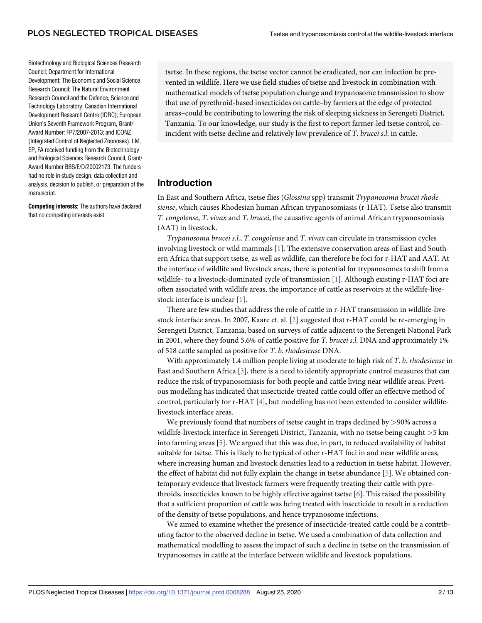<span id="page-1-0"></span>Biotechnology and Biological Sciences Research Council; Department for International Development; The Economic and Social Science Research Council; The Natural Environment Research Council and the Defence, Science and Technology Laboratory; Canadian International Development Research Centre (IDRC); European Union's Seventh Framework Program, Grant/ Award Number: FP7/2007-2013; and ICONZ (Integrated Control of Neglected Zoonoses). LM, EP, FA received funding from the Biotechnology and Biological Sciences Research Council, Grant/ Award Number BBS/E/D/20002173. The funders had no role in study design, data collection and analysis, decision to publish, or preparation of the manuscript.

**Competing interests:** The authors have declared that no competing interests exist.

tsetse. In these regions, the tsetse vector cannot be eradicated, nor can infection be prevented in wildlife. Here we use field studies of tsetse and livestock in combination with mathematical models of tsetse population change and trypanosome transmission to show that use of pyrethroid-based insecticides on cattle–by farmers at the edge of protected areas–could be contributing to lowering the risk of sleeping sickness in Serengeti District, Tanzania. To our knowledge, our study is the first to report farmer-led tsetse control, coincident with tsetse decline and relatively low prevalence of *T*. *brucei s*.*l*. in cattle.

#### **Introduction**

In East and Southern Africa, tsetse flies (*Glossina* spp) transmit *Trypanosoma brucei rhodesiense*, which causes Rhodesian human African trypanosomiasis (r-HAT). Tsetse also transmit *T*. *congolense*, *T*. *vivax* and *T*. *brucei*, the causative agents of animal African trypanosomiasis (AAT) in livestock.

*Trypanosoma brucei s*.*l*., *T*. *congolense* and *T*. *vivax* can circulate in transmission cycles involving livestock or wild mammals [\[1\]](#page-10-0). The extensive conservation areas of East and Southern Africa that support tsetse, as well as wildlife, can therefore be foci for r-HAT and AAT. At the interface of wildlife and livestock areas, there is potential for trypanosomes to shift from a wildlife- to a livestock-dominated cycle of transmission [\[1\]](#page-10-0). Although existing r-HAT foci are often associated with wildlife areas, the importance of cattle as reservoirs at the wildlife-livestock interface is unclear [[1\]](#page-10-0).

There are few studies that address the role of cattle in r-HAT transmission in wildlife-livestock interface areas. In 2007, Kaare et. al. [\[2\]](#page-10-0) suggested that r-HAT could be re-emerging in Serengeti District, Tanzania, based on surveys of cattle adjacent to the Serengeti National Park in 2001, where they found 5.6% of cattle positive for *T*. *brucei s*.*l*. DNA and approximately 1% of 518 cattle sampled as positive for *T*. *b*. *rhodesiense* DNA.

With approximately 1.4 million people living at moderate to high risk of *T*. *b*. *rhodesiense* in East and Southern Africa [\[3](#page-10-0)], there is a need to identify appropriate control measures that can reduce the risk of trypanosomiasis for both people and cattle living near wildlife areas. Previous modelling has indicated that insecticide-treated cattle could offer an effective method of control, particularly for r-HAT [[4\]](#page-10-0), but modelling has not been extended to consider wildlifelivestock interface areas.

We previously found that numbers of tsetse caught in traps declined by *>*90% across a wildlife-livestock interface in Serengeti District, Tanzania, with no tsetse being caught *>*5 km into farming areas [\[5](#page-10-0)]. We argued that this was due, in part, to reduced availability of habitat suitable for tsetse. This is likely to be typical of other r-HAT foci in and near wildlife areas, where increasing human and livestock densities lead to a reduction in tsetse habitat. However, the effect of habitat did not fully explain the change in tsetse abundance [\[5\]](#page-10-0). We obtained contemporary evidence that livestock farmers were frequently treating their cattle with pyrethroids, insecticides known to be highly effective against tsetse [[6](#page-10-0)]. This raised the possibility that a sufficient proportion of cattle was being treated with insecticide to result in a reduction of the density of tsetse populations, and hence trypanosome infections.

We aimed to examine whether the presence of insecticide-treated cattle could be a contributing factor to the observed decline in tsetse. We used a combination of data collection and mathematical modelling to assess the impact of such a decline in tsetse on the transmission of trypanosomes in cattle at the interface between wildlife and livestock populations.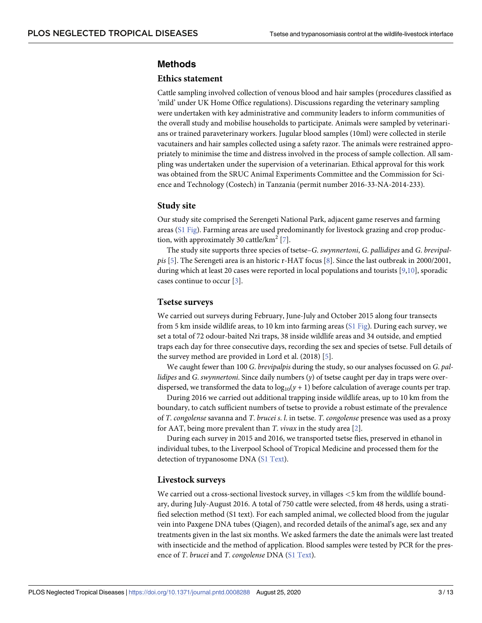### <span id="page-2-0"></span>**Methods**

#### **Ethics statement**

Cattle sampling involved collection of venous blood and hair samples (procedures classified as 'mild' under UK Home Office regulations). Discussions regarding the veterinary sampling were undertaken with key administrative and community leaders to inform communities of the overall study and mobilise households to participate. Animals were sampled by veterinarians or trained paraveterinary workers. Jugular blood samples (10ml) were collected in sterile vacutainers and hair samples collected using a safety razor. The animals were restrained appropriately to minimise the time and distress involved in the process of sample collection. All sampling was undertaken under the supervision of a veterinarian. Ethical approval for this work was obtained from the SRUC Animal Experiments Committee and the Commission for Science and Technology (Costech) in Tanzania (permit number 2016-33-NA-2014-233).

#### **Study site**

Our study site comprised the Serengeti National Park, adjacent game reserves and farming areas (S1 [Fig](#page-8-0)). Farming areas are used predominantly for livestock grazing and crop production, with approximately 30 cattle/ $km^2$  [\[7\]](#page-10-0).

The study site supports three species of tsetse–*G*. *swynnertoni*, *G*. *pallidipes* and *G*. *brevipalpis* [\[5](#page-10-0)]. The Serengeti area is an historic r-HAT focus [[8](#page-10-0)]. Since the last outbreak in 2000/2001, during which at least 20 cases were reported in local populations and tourists [\[9,10\]](#page-10-0), sporadic cases continue to occur [\[3](#page-10-0)].

#### **Tsetse surveys**

We carried out surveys during February, June-July and October 2015 along four transects from 5 km inside wildlife areas, to 10 km into farming areas (S1 [Fig\)](#page-8-0). During each survey, we set a total of 72 odour-baited Nzi traps, 38 inside wildlife areas and 34 outside, and emptied traps each day for three consecutive days, recording the sex and species of tsetse. Full details of the survey method are provided in Lord et al. (2018) [[5\]](#page-10-0).

We caught fewer than 100 *G*. *brevipalpis* during the study, so our analyses focussed on *G*. *pallidipes* and *G*. *swynnertoni*. Since daily numbers (*y*) of tsetse caught per day in traps were overdispersed, we transformed the data to  $log_{10}(y + 1)$  before calculation of average counts per trap.

During 2016 we carried out additional trapping inside wildlife areas, up to 10 km from the boundary, to catch sufficient numbers of tsetse to provide a robust estimate of the prevalence of *T*. *congolense* savanna and *T*. *brucei s*. *l*. in tsetse. *T*. *congolense* presence was used as a proxy for AAT, being more prevalent than *T*. *vivax* in the study area [\[2](#page-10-0)].

During each survey in 2015 and 2016, we transported tsetse flies, preserved in ethanol in individual tubes, to the Liverpool School of Tropical Medicine and processed them for the detection of trypanosome DNA (S1 [Text\)](#page-9-0).

#### **Livestock surveys**

We carried out a cross-sectional livestock survey, in villages *<*5 km from the wildlife boundary, during July-August 2016. A total of 750 cattle were selected, from 48 herds, using a stratified selection method (S1 text). For each sampled animal, we collected blood from the jugular vein into Paxgene DNA tubes (Qiagen), and recorded details of the animal's age, sex and any treatments given in the last six months. We asked farmers the date the animals were last treated with insecticide and the method of application. Blood samples were tested by PCR for the presence of *T*. *brucei* and *T*. *congolense* DNA (S1 [Text\)](#page-9-0).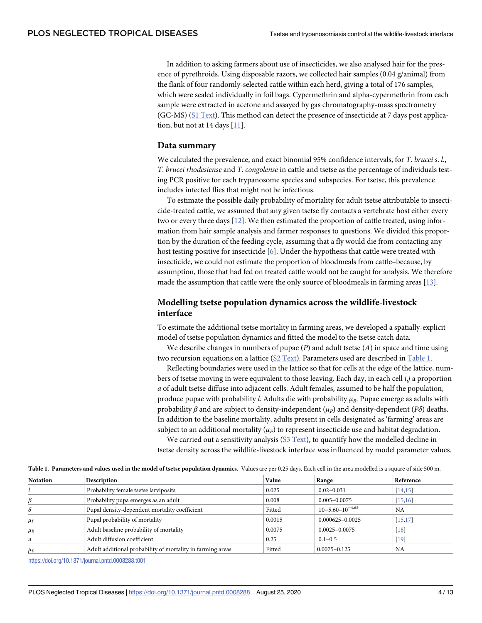<span id="page-3-0"></span>In addition to asking farmers about use of insecticides, we also analysed hair for the presence of pyrethroids. Using disposable razors, we collected hair samples (0.04 g/animal) from the flank of four randomly-selected cattle within each herd, giving a total of 176 samples, which were sealed individually in foil bags. Cypermethrin and alpha-cypermethrin from each sample were extracted in acetone and assayed by gas chromatography-mass spectrometry (GC-MS) (S1 [Text](#page-9-0)). This method can detect the presence of insecticide at 7 days post applica-tion, but not at 14 days [[11](#page-10-0)].

#### **Data summary**

We calculated the prevalence, and exact binomial 95% confidence intervals, for *T*. *brucei s*. *l*., *T*. *brucei rhodesiense* and *T*. *congolense* in cattle and tsetse as the percentage of individuals testing PCR positive for each trypanosome species and subspecies. For tsetse, this prevalence includes infected flies that might not be infectious.

To estimate the possible daily probability of mortality for adult tsetse attributable to insecticide-treated cattle, we assumed that any given tsetse fly contacts a vertebrate host either every two or every three days [[12](#page-10-0)]. We then estimated the proportion of cattle treated, using information from hair sample analysis and farmer responses to questions. We divided this proportion by the duration of the feeding cycle, assuming that a fly would die from contacting any host testing positive for insecticide [[6\]](#page-10-0). Under the hypothesis that cattle were treated with insecticide, we could not estimate the proportion of bloodmeals from cattle–because, by assumption, those that had fed on treated cattle would not be caught for analysis. We therefore made the assumption that cattle were the only source of bloodmeals in farming areas [\[13\]](#page-10-0).

# **Modelling tsetse population dynamics across the wildlife-livestock interface**

To estimate the additional tsetse mortality in farming areas, we developed a spatially-explicit model of tsetse population dynamics and fitted the model to the tsetse catch data.

We describe changes in numbers of pupae (*P*) and adult tsetse (*A*) in space and time using two recursion equations on a lattice (S2 [Text\)](#page-9-0). Parameters used are described in Table 1.

Reflecting boundaries were used in the lattice so that for cells at the edge of the lattice, numbers of tsetse moving in were equivalent to those leaving. Each day, in each cell *i*,*j* a proportion *a* of adult tsetse diffuse into adjacent cells. Adult females, assumed to be half the population, produce pupae with probability *l*. Adults die with probability  $\mu_B$ . Pupae emerge as adults with probability  $\beta$  and are subject to density-independent ( $\mu$ <sub>*P*</sub>) and density-dependent (*P* $\delta$ ) deaths. In addition to the baseline mortality, adults present in cells designated as 'farming' areas are subject to an additional mortality  $(\mu_F)$  to represent insecticide use and habitat degradation.

We carried out a sensitivity analysis ( $S3$  [Text](#page-9-0)), to quantify how the modelled decline in tsetse density across the wildlife-livestock interface was influenced by model parameter values.

| Table 1. Parameters and values used in the model of tsetse population dynamics. Values are per 0.25 days. Each cell in the area modelled is a square of side 500 m. |  |
|---------------------------------------------------------------------------------------------------------------------------------------------------------------------|--|
|---------------------------------------------------------------------------------------------------------------------------------------------------------------------|--|

| <b>Notation</b> | Description                                                | Value  | Range                    | Reference |
|-----------------|------------------------------------------------------------|--------|--------------------------|-----------|
|                 | Probability female tsetse larviposits                      | 0.025  | $0.02 - 0.031$           | [14, 15]  |
| β               | Probability pupa emerges as an adult                       | 0.008  | $0.005 - 0.0075$         | [15, 16]  |
| δ               | Pupal density-dependent mortality coefficient              | Fitted | $10 - 5.60 - 10^{-4.65}$ | <b>NA</b> |
| $\mu_P$         | Pupal probability of mortality                             | 0.0015 | 0.000625-0.0025          | [15, 17]  |
| $\mu_B$         | Adult baseline probability of mortality                    | 0.0075 | $0.0025 - 0.0075$        | $[18]$    |
| a               | Adult diffusion coefficient                                | 0.25   | $0.1 - 0.5$              | $[19]$    |
| $\mu_F$         | Adult additional probability of mortality in farming areas | Fitted | $0.0075 - 0.125$         | <b>NA</b> |

<https://doi.org/10.1371/journal.pntd.0008288.t001>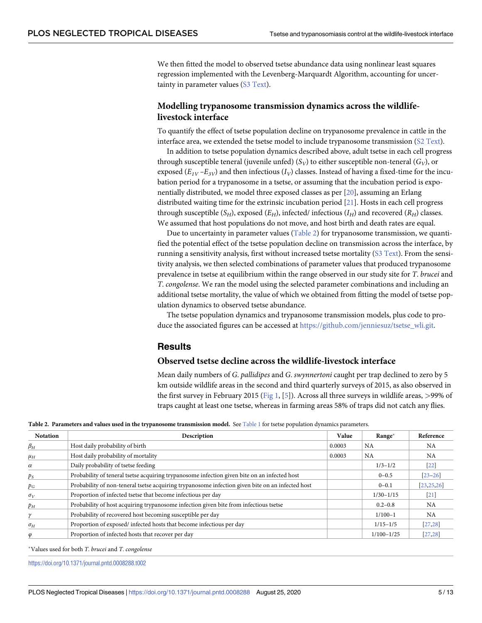<span id="page-4-0"></span>We then fitted the model to observed tsetse abundance data using nonlinear least squares regression implemented with the Levenberg-Marquardt Algorithm, accounting for uncertainty in parameter values (S3 [Text](#page-9-0)).

# **Modelling trypanosome transmission dynamics across the wildlifelivestock interface**

To quantify the effect of tsetse population decline on trypanosome prevalence in cattle in the interface area, we extended the tsetse model to include trypanosome transmission (S2 [Text](#page-9-0)).

In addition to tsetse population dynamics described above, adult tsetse in each cell progress through susceptible teneral (juvenile unfed)  $(S_V)$  to either susceptible non-teneral  $(G_V)$ , or exposed  $(E_{IV} - E_{3V})$  and then infectious  $(I_V)$  classes. Instead of having a fixed-time for the incubation period for a trypanosome in a tsetse, or assuming that the incubation period is exponentially distributed, we model three exposed classes as per [\[20\]](#page-10-0), assuming an Erlang distributed waiting time for the extrinsic incubation period [\[21\]](#page-11-0). Hosts in each cell progress through susceptible  $(S_H)$ , exposed  $(E_H)$ , infected/ infectious  $(I_H)$  and recovered  $(R_H)$  classes. We assumed that host populations do not move, and host birth and death rates are equal.

Due to uncertainty in parameter values (Table 2) for trypanosome transmission, we quantified the potential effect of the tsetse population decline on transmission across the interface, by running a sensitivity analysis, first without increased tsetse mortality (S3 [Text](#page-9-0)). From the sensitivity analysis, we then selected combinations of parameter values that produced trypanosome prevalence in tsetse at equilibrium within the range observed in our study site for *T*. *brucei* and *T*. *congolense*. We ran the model using the selected parameter combinations and including an additional tsetse mortality, the value of which we obtained from fitting the model of tsetse population dynamics to observed tsetse abundance.

The tsetse population dynamics and trypanosome transmission models, plus code to produce the associated figures can be accessed at [https://github.com/jenniesuz/tsetse\\_wli.git.](https://github.com/jenniesuz/tsetse_wli.git)

# **Results**

#### **Observed tsetse decline across the wildlife-livestock interface**

Mean daily numbers of *G*. *pallidipes* and *G*. *swynnertoni* caught per trap declined to zero by 5 km outside wildlife areas in the second and third quarterly surveys of 2015, as also observed in the first survey in February 2015 [\(Fig](#page-5-0) 1, [[5](#page-10-0)]). Across all three surveys in wildlife areas, *>*99% of traps caught at least one tsetse, whereas in farming areas 58% of traps did not catch any flies.

**Table 2. Parameters and values used in the trypanosome transmission model.** See [Table](#page-3-0) 1 for tsetse population dynamics parameters.

| <b>Notation</b> | Description                                                                                      | Value  | Range*         | Reference    |
|-----------------|--------------------------------------------------------------------------------------------------|--------|----------------|--------------|
| $\beta_H$       | Host daily probability of birth                                                                  | 0.0003 | <b>NA</b>      | NA           |
| $\mu_H$         | Host daily probability of mortality                                                              | 0.0003 | NA             | <b>NA</b>    |
| $\alpha$        | Daily probability of tsetse feeding                                                              |        | $1/3 - 1/2$    | $[22]$       |
| $p_S$           | Probability of teneral tsetse acquiring trypanosome infection given bite on an infected host     |        | $0 - 0.5$      | $[23 - 26]$  |
| $p_G$           | Probability of non-teneral tsetse acquiring trypanosome infection given bite on an infected host |        | $0 - 0.1$      | [23, 25, 26] |
| $\sigma_V$      | Proportion of infected tsetse that become infectious per day                                     |        | $1/30 - 1/15$  | $[21]$       |
| $p_H$           | Probability of host acquiring trypanosome infection given bite from infectious tsetse            |        | $0.2 - 0.8$    | <b>NA</b>    |
| γ               | Probability of recovered host becoming susceptible per day                                       |        | $1/100-1$      | <b>NA</b>    |
| $\sigma_H$      | Proportion of exposed/ infected hosts that become infectious per day                             |        | $1/15 - 1/5$   | [27, 28]     |
| φ               | Proportion of infected hosts that recover per day                                                |        | $1/100 - 1/25$ | [27, 28]     |

�Values used for both *T*. *brucei* and *T*. *congolense*

<https://doi.org/10.1371/journal.pntd.0008288.t002>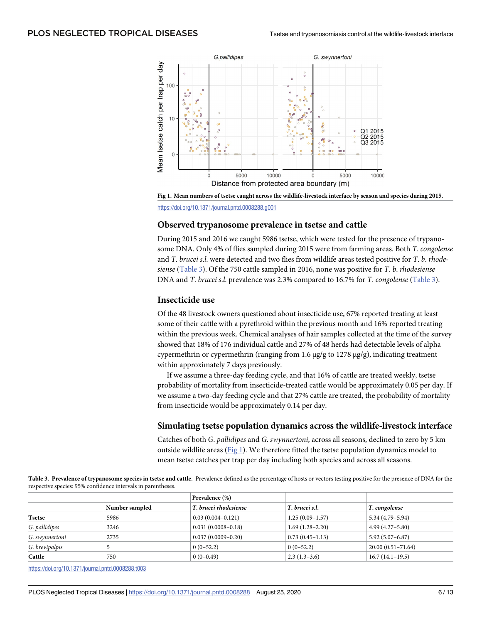<span id="page-5-0"></span>

[Fig](#page-4-0) 1. Mean numbers of tsetse caught across the wildlife-livestock interface by season and species during 2015. <https://doi.org/10.1371/journal.pntd.0008288.g001>

#### **Observed trypanosome prevalence in tsetse and cattle**

During 2015 and 2016 we caught 5986 tsetse, which were tested for the presence of trypanosome DNA. Only 4% of flies sampled during 2015 were from farming areas. Both *T*. *congolense* and *T*. *brucei s*.*l*. were detected and two flies from wildlife areas tested positive for *T*. *b*. *rhodesiense* (Table 3). Of the 750 cattle sampled in 2016, none was positive for *T*. *b*. *rhodesiense* DNA and *T*. *brucei s*.*l*. prevalence was 2.3% compared to 16.7% for *T*. *congolense* (Table 3).

#### **Insecticide use**

Of the 48 livestock owners questioned about insecticide use, 67% reported treating at least some of their cattle with a pyrethroid within the previous month and 16% reported treating within the previous week. Chemical analyses of hair samples collected at the time of the survey showed that 18% of 176 individual cattle and 27% of 48 herds had detectable levels of alpha cypermethrin or cypermethrin (ranging from 1.6 μg/g to 1278 μg/g), indicating treatment within approximately 7 days previously.

If we assume a three-day feeding cycle, and that 16% of cattle are treated weekly, tsetse probability of mortality from insecticide-treated cattle would be approximately 0.05 per day. If we assume a two-day feeding cycle and that 27% cattle are treated, the probability of mortality from insecticide would be approximately 0.14 per day.

#### **Simulating tsetse population dynamics across the wildlife-livestock interface**

Catches of both *G*. *pallidipes* and *G*. *swynnertoni*, across all seasons, declined to zero by 5 km outside wildlife areas (Fig 1). We therefore fitted the tsetse population dynamics model to mean tsetse catches per trap per day including both species and across all seasons.

Table 3. Prevalence of trypanosome species in tsetse and cattle. Prevalence defined as the percentage of hosts or vectors testing positive for the presence of DNA for the respective species: 95% confidence intervals in parentheses.

|                |                | Prevalence (%)         |                   |                       |
|----------------|----------------|------------------------|-------------------|-----------------------|
|                | Number sampled | T. brucei rhodesiense  | T. brucei s.l.    | T. congolense         |
| Tsetse         | 5986           | $0.03(0.004 - 0.121)$  | $1.25(0.09-1.57)$ | $5.34(4.79 - 5.94)$   |
| G. pallidipes  | 3246           | $0.031(0.0008 - 0.18)$ | $1.69(1.28-2.20)$ | $4.99(4.27 - 5.80)$   |
| G. swynnertoni | 2735           | $0.037(0.0009 - 0.20)$ | $0.73(0.45-1.13)$ | $5.92(5.07 - 6.87)$   |
| G. brevipalpis |                | $0(0-52.2)$            | $0(0-52.2)$       | $20.00(0.51 - 71.64)$ |
| Cattle         | 750            | $0(0-0.49)$            | $2.3(1.3-3.6)$    | $16.7(14.1-19.5)$     |

<https://doi.org/10.1371/journal.pntd.0008288.t003>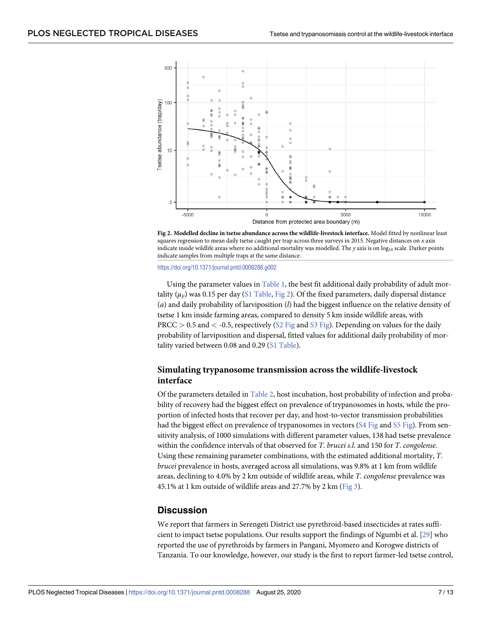<span id="page-6-0"></span>

**Fig 2. Modelled decline in tsetse abundance across the wildlife-livestock interface.** Model fitted by nonlinear least squares regression to mean daily tsetse caught per trap across three surveys in 2015. Negative distances on *x* axis indicate inside wildlife areas where no additional mortality was modelled. The *y* axis is on log<sub>10</sub> scale. Darker points indicate samples from multiple traps at the same distance.

<https://doi.org/10.1371/journal.pntd.0008288.g002>

Using the parameter values in [Table](#page-3-0) 1, the best fit additional daily probability of adult mortality ( $\mu_F$ ) was 0.15 per day (S1 [Table,](#page-9-0) Fig 2). Of the fixed parameters, daily dispersal distance (*a*) and daily probability of larviposition (*l*) had the biggest influence on the relative density of tsetse 1 km inside farming areas, compared to density 5 km inside wildlife areas, with PRCC *>* 0.5 and *<* -0.5, respectively (S2 [Fig](#page-9-0) and S3 [Fig](#page-9-0)). Depending on values for the daily probability of larviposition and dispersal, fitted values for additional daily probability of mor-tality varied between 0.08 and 0.29 (S1 [Table\)](#page-9-0).

# **Simulating trypanosome transmission across the wildlife-livestock interface**

Of the parameters detailed in [Table](#page-4-0) 2, host incubation, host probability of infection and probability of recovery had the biggest effect on prevalence of trypanosomes in hosts, while the proportion of infected hosts that recover per day, and host-to-vector transmission probabilities had the biggest effect on prevalence of trypanosomes in vectors (S4 [Fig](#page-9-0) and S5 [Fig\)](#page-9-0). From sensitivity analysis, of 1000 simulations with different parameter values, 138 had tsetse prevalence within the confidence intervals of that observed for *T*. *brucei s*.*l*. and 150 for *T*. *congolense*. Using these remaining parameter combinations, with the estimated additional mortality, *T*. *brucei* prevalence in hosts, averaged across all simulations, was 9.8% at 1 km from wildlife areas, declining to 4.0% by 2 km outside of wildlife areas, while *T*. *congolense* prevalence was 45.1% at 1 km outside of wildlife areas and 27.7% by 2 km ([Fig](#page-7-0) 3).

# **Discussion**

We report that farmers in Serengeti District use pyrethroid-based insecticides at rates sufficient to impact tsetse populations. Our results support the findings of Ngumbi et al. [[29](#page-11-0)] who reported the use of pyrethroids by farmers in Pangani, Myomero and Korogwe districts of Tanzania. To our knowledge, however, our study is the first to report farmer-led tsetse control,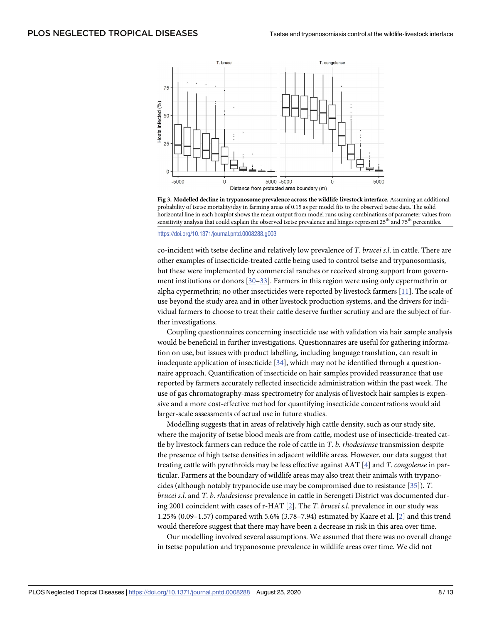<span id="page-7-0"></span>

**[Fig](#page-6-0) 3. Modelled decline in trypanosome prevalence across the wildlife-livestock interface.** Assuming an additional probability of tsetse mortality/day in farming areas of 0.15 as per model fits to the observed tsetse data. The solid horizontal line in each boxplot shows the mean output from model runs using combinations of parameter values from sensitivity analysis that could explain the observed tsetse prevalence and hinges represent  $25<sup>th</sup>$  and  $75<sup>th</sup>$  percentiles.

<https://doi.org/10.1371/journal.pntd.0008288.g003>

co-incident with tsetse decline and relatively low prevalence of *T*. *brucei s*.*l*. in cattle. There are other examples of insecticide-treated cattle being used to control tsetse and trypanosomiasis, but these were implemented by commercial ranches or received strong support from government institutions or donors [[30–33\]](#page-11-0). Farmers in this region were using only cypermethrin or alpha cypermethrin; no other insecticides were reported by livestock farmers [[11](#page-10-0)]. The scale of use beyond the study area and in other livestock production systems, and the drivers for individual farmers to choose to treat their cattle deserve further scrutiny and are the subject of further investigations.

Coupling questionnaires concerning insecticide use with validation via hair sample analysis would be beneficial in further investigations. Questionnaires are useful for gathering information on use, but issues with product labelling, including language translation, can result in inadequate application of insecticide  $[34]$ , which may not be identified through a questionnaire approach. Quantification of insecticide on hair samples provided reassurance that use reported by farmers accurately reflected insecticide administration within the past week. The use of gas chromatography-mass spectrometry for analysis of livestock hair samples is expensive and a more cost-effective method for quantifying insecticide concentrations would aid larger-scale assessments of actual use in future studies.

Modelling suggests that in areas of relatively high cattle density, such as our study site, where the majority of tsetse blood meals are from cattle, modest use of insecticide-treated cattle by livestock farmers can reduce the role of cattle in *T*. *b*. *rhodesiense* transmission despite the presence of high tsetse densities in adjacent wildlife areas. However, our data suggest that treating cattle with pyrethroids may be less effective against AAT [[4\]](#page-10-0) and *T*. *congolense* in particular. Farmers at the boundary of wildlife areas may also treat their animals with trypanocides (although notably trypanocide use may be compromised due to resistance [[35](#page-11-0)]). *T*. *brucei s*.*l*. and *T*. *b*. *rhodesiense* prevalence in cattle in Serengeti District was documented during 2001 coincident with cases of r-HAT [[2](#page-10-0)]. The *T*. *brucei s*.*l*. prevalence in our study was 1.25% (0.09–1.57) compared with 5.6% (3.78–7.94) estimated by Kaare et al. [[2\]](#page-10-0) and this trend would therefore suggest that there may have been a decrease in risk in this area over time.

Our modelling involved several assumptions. We assumed that there was no overall change in tsetse population and trypanosome prevalence in wildlife areas over time. We did not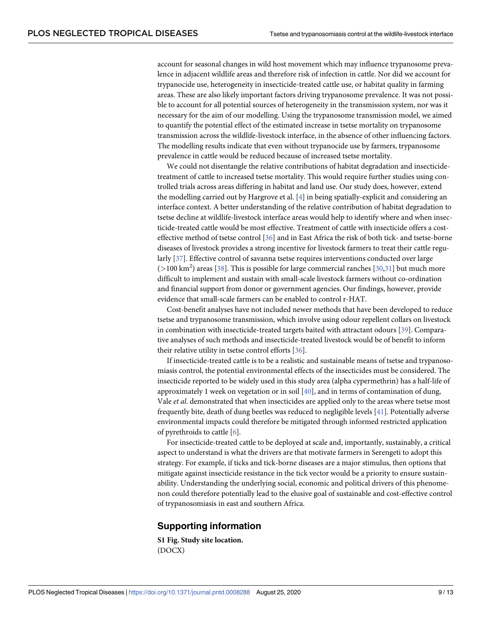<span id="page-8-0"></span>account for seasonal changes in wild host movement which may influence trypanosome prevalence in adjacent wildlife areas and therefore risk of infection in cattle. Nor did we account for trypanocide use, heterogeneity in insecticide-treated cattle use, or habitat quality in farming areas. These are also likely important factors driving trypanosome prevalence. It was not possible to account for all potential sources of heterogeneity in the transmission system, nor was it necessary for the aim of our modelling. Using the trypanosome transmission model, we aimed to quantify the potential effect of the estimated increase in tsetse mortality on trypanosome transmission across the wildlife-livestock interface, in the absence of other influencing factors. The modelling results indicate that even without trypanocide use by farmers, trypanosome prevalence in cattle would be reduced because of increased tsetse mortality.

We could not disentangle the relative contributions of habitat degradation and insecticidetreatment of cattle to increased tsetse mortality. This would require further studies using controlled trials across areas differing in habitat and land use. Our study does, however, extend the modelling carried out by Hargrove et al. [\[4](#page-10-0)] in being spatially-explicit and considering an interface context. A better understanding of the relative contribution of habitat degradation to tsetse decline at wildlife-livestock interface areas would help to identify where and when insecticide-treated cattle would be most effective. Treatment of cattle with insecticide offers a costeffective method of tsetse control [\[36](#page-11-0)] and in East Africa the risk of both tick- and tsetse-borne diseases of livestock provides a strong incentive for livestock farmers to treat their cattle regularly [\[37\]](#page-11-0). Effective control of savanna tsetse requires interventions conducted over large (*>*100 km<sup>2</sup> ) areas [[38](#page-11-0)]. This is possible for large commercial ranches [\[30,31](#page-11-0)] but much more difficult to implement and sustain with small-scale livestock farmers without co-ordination and financial support from donor or government agencies. Our findings, however, provide evidence that small-scale farmers can be enabled to control r-HAT.

Cost-benefit analyses have not included newer methods that have been developed to reduce tsetse and trypanosome transmission, which involve using odour repellent collars on livestock in combination with insecticide-treated targets baited with attractant odours [\[39\]](#page-11-0). Comparative analyses of such methods and insecticide-treated livestock would be of benefit to inform their relative utility in tsetse control efforts [[36](#page-11-0)].

If insecticide-treated cattle is to be a realistic and sustainable means of tsetse and trypanosomiasis control, the potential environmental effects of the insecticides must be considered. The insecticide reported to be widely used in this study area (alpha cypermethrin) has a half-life of approximately 1 week on vegetation or in soil [\[40\]](#page-12-0), and in terms of contamination of dung, Vale *et al*. demonstrated that when insecticides are applied only to the areas where tsetse most frequently bite, death of dung beetles was reduced to negligible levels [[41](#page-12-0)]. Potentially adverse environmental impacts could therefore be mitigated through informed restricted application of pyrethroids to cattle [[6](#page-10-0)].

For insecticide-treated cattle to be deployed at scale and, importantly, sustainably, a critical aspect to understand is what the drivers are that motivate farmers in Serengeti to adopt this strategy. For example, if ticks and tick-borne diseases are a major stimulus, then options that mitigate against insecticide resistance in the tick vector would be a priority to ensure sustainability. Understanding the underlying social, economic and political drivers of this phenomenon could therefore potentially lead to the elusive goal of sustainable and cost-effective control of trypanosomiasis in east and southern Africa.

# **Supporting information**

**S1 [Fig](http://journals.plos.org/plosntds/article/asset?unique&id=info:doi/10.1371/journal.pntd.0008288.s001). Study site location.** (DOCX)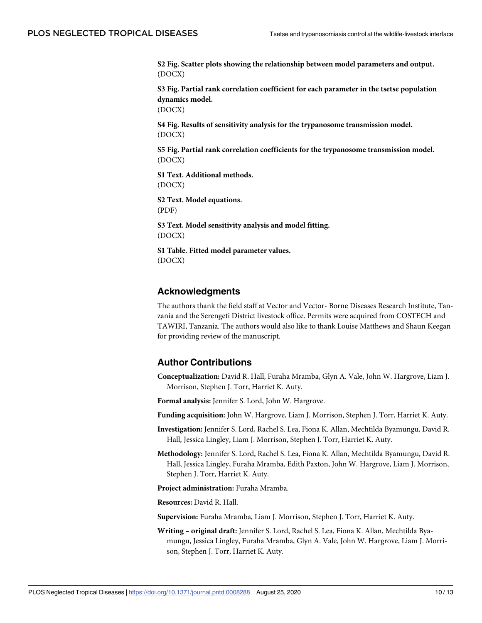<span id="page-9-0"></span>**S2 [Fig](http://journals.plos.org/plosntds/article/asset?unique&id=info:doi/10.1371/journal.pntd.0008288.s002). Scatter plots showing the relationship between model parameters and output.** (DOCX)

**S3 [Fig](http://journals.plos.org/plosntds/article/asset?unique&id=info:doi/10.1371/journal.pntd.0008288.s003). Partial rank correlation coefficient for each parameter in the tsetse population dynamics model.**

(DOCX)

**S4 [Fig](http://journals.plos.org/plosntds/article/asset?unique&id=info:doi/10.1371/journal.pntd.0008288.s004). Results of sensitivity analysis for the trypanosome transmission model.** (DOCX)

**S5 [Fig](http://journals.plos.org/plosntds/article/asset?unique&id=info:doi/10.1371/journal.pntd.0008288.s005). Partial rank correlation coefficients for the trypanosome transmission model.** (DOCX)

**S1 [Text](http://journals.plos.org/plosntds/article/asset?unique&id=info:doi/10.1371/journal.pntd.0008288.s006). Additional methods.** (DOCX)

**S2 [Text](http://journals.plos.org/plosntds/article/asset?unique&id=info:doi/10.1371/journal.pntd.0008288.s007). Model equations.** (PDF)

**S3 [Text](http://journals.plos.org/plosntds/article/asset?unique&id=info:doi/10.1371/journal.pntd.0008288.s008). Model sensitivity analysis and model fitting.** (DOCX)

**S1 [Table.](http://journals.plos.org/plosntds/article/asset?unique&id=info:doi/10.1371/journal.pntd.0008288.s009) Fitted model parameter values.** (DOCX)

### **Acknowledgments**

The authors thank the field staff at Vector and Vector- Borne Diseases Research Institute, Tanzania and the Serengeti District livestock office. Permits were acquired from COSTECH and TAWIRI, Tanzania. The authors would also like to thank Louise Matthews and Shaun Keegan for providing review of the manuscript.

# **Author Contributions**

**Conceptualization:** David R. Hall, Furaha Mramba, Glyn A. Vale, John W. Hargrove, Liam J. Morrison, Stephen J. Torr, Harriet K. Auty.

**Formal analysis:** Jennifer S. Lord, John W. Hargrove.

**Funding acquisition:** John W. Hargrove, Liam J. Morrison, Stephen J. Torr, Harriet K. Auty.

- **Investigation:** Jennifer S. Lord, Rachel S. Lea, Fiona K. Allan, Mechtilda Byamungu, David R. Hall, Jessica Lingley, Liam J. Morrison, Stephen J. Torr, Harriet K. Auty.
- **Methodology:** Jennifer S. Lord, Rachel S. Lea, Fiona K. Allan, Mechtilda Byamungu, David R. Hall, Jessica Lingley, Furaha Mramba, Edith Paxton, John W. Hargrove, Liam J. Morrison, Stephen J. Torr, Harriet K. Auty.

**Project administration:** Furaha Mramba.

**Resources:** David R. Hall.

**Supervision:** Furaha Mramba, Liam J. Morrison, Stephen J. Torr, Harriet K. Auty.

**Writing – original draft:** Jennifer S. Lord, Rachel S. Lea, Fiona K. Allan, Mechtilda Byamungu, Jessica Lingley, Furaha Mramba, Glyn A. Vale, John W. Hargrove, Liam J. Morrison, Stephen J. Torr, Harriet K. Auty.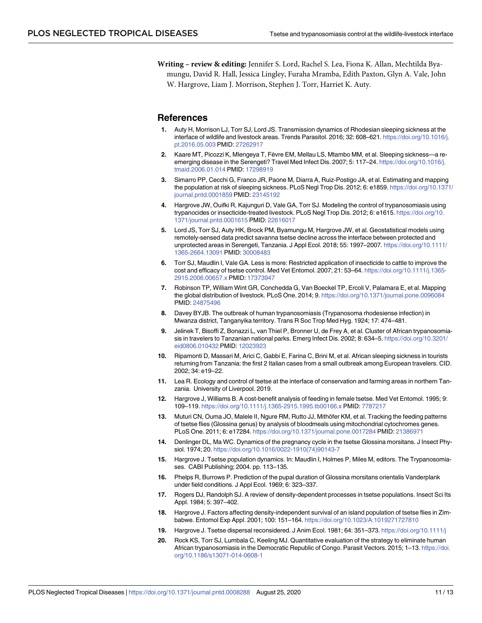<span id="page-10-0"></span>**Writing – review & editing:** Jennifer S. Lord, Rachel S. Lea, Fiona K. Allan, Mechtilda Byamungu, David R. Hall, Jessica Lingley, Furaha Mramba, Edith Paxton, Glyn A. Vale, John W. Hargrove, Liam J. Morrison, Stephen J. Torr, Harriet K. Auty.

#### **References**

- **[1](#page-1-0).** Auty H, Morrison LJ, Torr SJ, Lord JS. Transmission dynamics of Rhodesian sleeping sickness at the interface of wildlife and livestock areas. Trends Parasitol. 2016; 32: 608–621. [https://doi.org/10.1016/j.](https://doi.org/10.1016/j.pt.2016.05.003) [pt.2016.05.003](https://doi.org/10.1016/j.pt.2016.05.003) PMID: [27262917](http://www.ncbi.nlm.nih.gov/pubmed/27262917)
- **[2](#page-1-0).** Kaare MT, Picozzi K, Mlengeya T, Fèvre EM, Mellau LS, Mtambo MM, et al. Sleeping sickness—a reemerging disease in the Serengeti? Travel Med Infect Dis. 2007; 5: 117–24. [https://doi.org/10.1016/j.](https://doi.org/10.1016/j.tmaid.2006.01.014) [tmaid.2006.01.014](https://doi.org/10.1016/j.tmaid.2006.01.014) PMID: [17298919](http://www.ncbi.nlm.nih.gov/pubmed/17298919)
- **[3](#page-1-0).** Simarro PP, Cecchi G, Franco JR, Paone M, Diarra A, Ruiz-Postigo JA, et al. Estimating and mapping the population at risk of sleeping sickness. PLoS Negl Trop Dis. 2012; 6: e1859. [https://doi.org/10.1371/](https://doi.org/10.1371/journal.pntd.0001859) [journal.pntd.0001859](https://doi.org/10.1371/journal.pntd.0001859) PMID: [23145192](http://www.ncbi.nlm.nih.gov/pubmed/23145192)
- **[4](#page-1-0).** Hargrove JW, Ouifki R, Kajunguri D, Vale GA, Torr SJ. Modeling the control of trypanosomiasis using trypanocides or insecticide-treated livestock. PLoS Negl Trop Dis. 2012; 6: e1615. [https://doi.org/10.](https://doi.org/10.1371/journal.pntd.0001615) [1371/journal.pntd.0001615](https://doi.org/10.1371/journal.pntd.0001615) PMID: [22616017](http://www.ncbi.nlm.nih.gov/pubmed/22616017)
- **[5](#page-1-0).** Lord JS, Torr SJ, Auty HK, Brock PM, Byamungu M, Hargrove JW, et al. Geostatistical models using remotely-sensed data predict savanna tsetse decline across the interface between protected and unprotected areas in Serengeti, Tanzania. J Appl Ecol. 2018; 55: 1997–2007. [https://doi.org/10.1111/](https://doi.org/10.1111/1365-2664.13091) [1365-2664.13091](https://doi.org/10.1111/1365-2664.13091) PMID: [30008483](http://www.ncbi.nlm.nih.gov/pubmed/30008483)
- **[6](#page-1-0).** Torr SJ, Maudlin I, Vale GA. Less is more: Restricted application of insecticide to cattle to improve the cost and efficacy of tsetse control. Med Vet Entomol. 2007; 21: 53–64. [https://doi.org/10.1111/j.1365-](https://doi.org/10.1111/j.1365-2915.2006.00657.x) [2915.2006.00657.x](https://doi.org/10.1111/j.1365-2915.2006.00657.x) PMID: [17373947](http://www.ncbi.nlm.nih.gov/pubmed/17373947)
- **[7](#page-2-0).** Robinson TP, William Wint GR, Conchedda G, Van Boeckel TP, Ercoli V, Palamara E, et al. Mapping the global distribution of livestock. PLoS One. 2014; 9. <https://doi.org/10.1371/journal.pone.0096084> PMID: [24875496](http://www.ncbi.nlm.nih.gov/pubmed/24875496)
- **[8](#page-2-0).** Davey BYJB. The outbreak of human trypanosomiasis (Trypanosoma rhodesiense infection) in Mwanza district, Tanganyika territory. Trans R Soc Trop Med Hyg. 1924; 17: 474–481.
- **[9](#page-2-0).** Jelinek T, Bisoffi Z, Bonazzi L, van Thiel P, Bronner U, de Frey A, et al. Cluster of African trypanosomiasis in travelers to Tanzanian national parks. Emerg Infect Dis. 2002; 8: 634–5. [https://doi.org/10.3201/](https://doi.org/10.3201/eid0806.010432) [eid0806.010432](https://doi.org/10.3201/eid0806.010432) PMID: [12023923](http://www.ncbi.nlm.nih.gov/pubmed/12023923)
- **[10](#page-2-0).** Ripamonti D, Massari M, Arici C, Gabbi E, Farina C, Brini M, et al. African sleeping sickness in tourists returning from Tanzania: the first 2 Italian cases from a small outbreak among European travelers. CID. 2002; 34: e19–22.
- **[11](#page-3-0).** Lea R. Ecology and control of tsetse at the interface of conservation and farming areas in northern Tanzania. University of Liverpool. 2019.
- **[12](#page-3-0).** Hargrove J, Williams B. A cost-benefit analysis of feeding in female tsetse. Med Vet Entomol. 1995; 9: 109–119. <https://doi.org/10.1111/j.1365-2915.1995.tb00166.x> PMID: [7787217](http://www.ncbi.nlm.nih.gov/pubmed/7787217)
- **[13](#page-3-0).** Muturi CN, Ouma JO, Malele II, Ngure RM, Rutto JJ, Mithöfer KM, et al. Tracking the feeding patterns of tsetse flies (Glossina genus) by analysis of bloodmeals using mitochondrial cytochromes genes. PLoS One. 2011; 6: e17284. <https://doi.org/10.1371/journal.pone.0017284> PMID: [21386971](http://www.ncbi.nlm.nih.gov/pubmed/21386971)
- **[14](#page-3-0).** Denlinger DL, Ma WC. Dynamics of the pregnancy cycle in the tsetse Glossina morsitans. J Insect Physiol. 1974; 20. [https://doi.org/10.1016/0022-1910\(74\)90143-7](https://doi.org/10.1016/0022-1910%2874%2990143-7)
- **[15](#page-3-0).** Hargrove J. Tsetse population dynamics. In: Maudlin I, Holmes P, Miles M, editors. The Trypanosomiases. CABI Publishing; 2004. pp. 113–135.
- **[16](#page-3-0).** Phelps R, Burrows P. Prediction of the pupal duration of Glossina morsitans orientalis Vanderplank under field conditions. J Appl Ecol. 1969; 6: 323–337.
- **[17](#page-3-0).** Rogers DJ, Randolph SJ. A review of density-dependent processes in tsetse populations. Insect Sci Its Appl. 1984; 5: 397–402.
- **[18](#page-3-0).** Hargrove J. Factors affecting density-independent survival of an island population of tsetse flies in Zimbabwe. Entomol Exp Appl. 2001; 100: 151–164. [https://doi.org/10.1023/A:1019271727810](https://doi.org/10.1023/A%3A1019271727810)
- **[19](#page-3-0).** Hargrove J. Tsetse dispersal reconsidered. J Anim Ecol. 1981; 64: 351–373. <https://doi.org/10.1111/j>
- **[20](#page-4-0).** Rock KS, Torr SJ, Lumbala C, Keeling MJ. Quantitative evaluation of the strategy to eliminate human African trypanosomiasis in the Democratic Republic of Congo. Parasit Vectors. 2015; 1–13. [https://doi.](https://doi.org/10.1186/s13071-014-0608-1) [org/10.1186/s13071-014-0608-1](https://doi.org/10.1186/s13071-014-0608-1)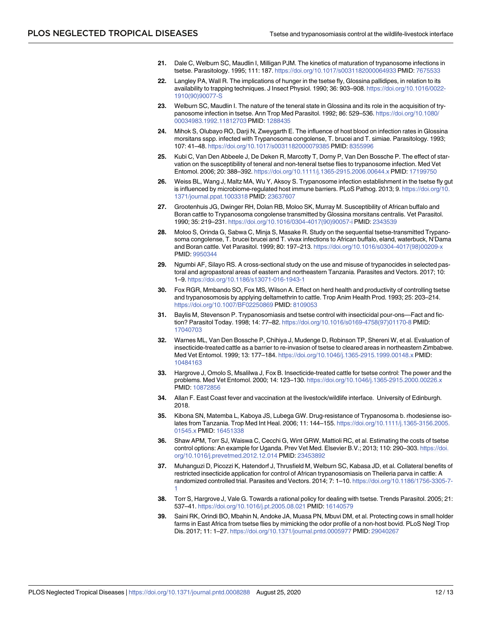- <span id="page-11-0"></span>**[21](#page-4-0).** Dale C, Welburn SC, Maudlin I, Milligan PJM. The kinetics of maturation of trypanosome infections in tsetse. Parasitology. 1995; 111: 187. <https://doi.org/10.1017/s0031182000064933> PMID: [7675533](http://www.ncbi.nlm.nih.gov/pubmed/7675533)
- **[22](#page-4-0).** Langley PA, Wall R. The implications of hunger in the tsetse fly, Glossina pallidipes, in relation to its availability to trapping techniques. J Insect Physiol. 1990; 36: 903–908. [https://doi.org/10.1016/0022-](https://doi.org/10.1016/0022-1910%2890%2990077-S) [1910\(90\)90077-S](https://doi.org/10.1016/0022-1910%2890%2990077-S)
- **[23](#page-4-0).** Welburn SC, Maudlin I. The nature of the teneral state in Glossina and its role in the acquisition of trypanosome infection in tsetse. Ann Trop Med Parasitol. 1992; 86: 529–536. [https://doi.org/10.1080/](https://doi.org/10.1080/00034983.1992.11812703) [00034983.1992.11812703](https://doi.org/10.1080/00034983.1992.11812703) PMID: [1288435](http://www.ncbi.nlm.nih.gov/pubmed/1288435)
- **24.** Mihok S, Olubayo RO, Darji N, Zweygarth E. The influence of host blood on infection rates in Glossina morsitans sspp. infected with Trypanosoma congolense, T. brucei and T. simiae. Parasitology. 1993; 107: 41–48. <https://doi.org/10.1017/s0031182000079385> PMID: [8355996](http://www.ncbi.nlm.nih.gov/pubmed/8355996)
- **[25](#page-4-0).** Kubi C, Van Den Abbeele J, De Deken R, Marcotty T, Dorny P, Van Den Bossche P. The effect of starvation on the susceptibility of teneral and non-teneral tsetse flies to trypanosome infection. Med Vet Entomol. 2006; 20: 388–392. <https://doi.org/10.1111/j.1365-2915.2006.00644.x> PMID: [17199750](http://www.ncbi.nlm.nih.gov/pubmed/17199750)
- **[26](#page-4-0).** Weiss BL, Wang J, Maltz MA, Wu Y, Aksoy S. Trypanosome infection establishment in the tsetse fly gut is influenced by microbiome-regulated host immune barriers. PLoS Pathog. 2013; 9. [https://doi.org/10.](https://doi.org/10.1371/journal.ppat.1003318) [1371/journal.ppat.1003318](https://doi.org/10.1371/journal.ppat.1003318) PMID: [23637607](http://www.ncbi.nlm.nih.gov/pubmed/23637607)
- **[27](#page-4-0).** Grootenhuis JG, Dwinger RH, Dolan RB, Moloo SK, Murray M. Susceptibility of African buffalo and Boran cattle to Trypanosoma congolense transmitted by Glossina morsitans centralis. Vet Parasitol. 1990; 35: 219–231. [https://doi.org/10.1016/0304-4017\(90\)90057-i](https://doi.org/10.1016/0304-4017%2890%2990057-i) PMID: [2343539](http://www.ncbi.nlm.nih.gov/pubmed/2343539)
- **[28](#page-4-0).** Moloo S, Orinda G, Sabwa C, Minja S, Masake R. Study on the sequential tsetse-transmitted Trypanosoma congolense, T. brucei brucei and T. vivax infections to African buffalo, eland, waterbuck, N'Dama and Boran cattle. Vet Parasitol. 1999; 80: 197–213. [https://doi.org/10.1016/s0304-4017\(98\)00209-x](https://doi.org/10.1016/s0304-4017%2898%2900209-x) PMID: [9950344](http://www.ncbi.nlm.nih.gov/pubmed/9950344)
- **[29](#page-6-0).** Ngumbi AF, Silayo RS. A cross-sectional study on the use and misuse of trypanocides in selected pastoral and agropastoral areas of eastern and northeastern Tanzania. Parasites and Vectors. 2017; 10: 1–9. <https://doi.org/10.1186/s13071-016-1943-1>
- **[30](#page-7-0).** Fox RGR, Mmbando SO, Fox MS, Wilson A. Effect on herd health and productivity of controlling tsetse and trypanosomosis by applying deltamethrin to cattle. Trop Anim Health Prod. 1993; 25: 203–214. <https://doi.org/10.1007/BF02250869> PMID: [8109053](http://www.ncbi.nlm.nih.gov/pubmed/8109053)
- **[31](#page-8-0).** Baylis M, Stevenson P. Trypanosomiasis and tsetse control with insecticidal pour-ons—Fact and fiction? Parasitol Today. 1998; 14: 77–82. [https://doi.org/10.1016/s0169-4758\(97\)01170-8](https://doi.org/10.1016/s0169-4758%2897%2901170-8) PMID: [17040703](http://www.ncbi.nlm.nih.gov/pubmed/17040703)
- **32.** Warnes ML, Van Den Bossche P, Chihiya J, Mudenge D, Robinson TP, Shereni W, et al. Evaluation of insecticide-treated cattle as a barrier to re-invasion of tsetse to cleared areas in northeastern Zimbabwe. Med Vet Entomol. 1999; 13: 177–184. <https://doi.org/10.1046/j.1365-2915.1999.00148.x> PMID: [10484163](http://www.ncbi.nlm.nih.gov/pubmed/10484163)
- **[33](#page-7-0).** Hargrove J, Omolo S, Msalilwa J, Fox B. Insecticide-treated cattle for tsetse control: The power and the problems. Med Vet Entomol. 2000; 14: 123–130. <https://doi.org/10.1046/j.1365-2915.2000.00226.x> PMID: [10872856](http://www.ncbi.nlm.nih.gov/pubmed/10872856)
- **[34](#page-7-0).** Allan F. East Coast fever and vaccination at the livestock/wildlife interface. University of Edinburgh. 2018.
- **[35](#page-7-0).** Kibona SN, Matemba L, Kaboya JS, Lubega GW. Drug-resistance of Trypanosoma b. rhodesiense isolates from Tanzania. Trop Med Int Heal. 2006; 11: 144–155. [https://doi.org/10.1111/j.1365-3156.2005.](https://doi.org/10.1111/j.1365-3156.2005.01545.x) [01545.x](https://doi.org/10.1111/j.1365-3156.2005.01545.x) PMID: [16451338](http://www.ncbi.nlm.nih.gov/pubmed/16451338)
- **[36](#page-8-0).** Shaw APM, Torr SJ, Waiswa C, Cecchi G, Wint GRW, Mattioli RC, et al. Estimating the costs of tsetse control options: An example for Uganda. Prev Vet Med. Elsevier B.V.; 2013; 110: 290–303. [https://doi.](https://doi.org/10.1016/j.prevetmed.2012.12.014) [org/10.1016/j.prevetmed.2012.12.014](https://doi.org/10.1016/j.prevetmed.2012.12.014) PMID: [23453892](http://www.ncbi.nlm.nih.gov/pubmed/23453892)
- **[37](#page-8-0).** Muhanguzi D, Picozzi K, Hatendorf J, Thrusfield M, Welburn SC, Kabasa JD, et al. Collateral benefits of restricted insecticide application for control of African trypanosomiasis on Theileria parva in cattle: A randomized controlled trial. Parasites and Vectors. 2014; 7: 1–10. [https://doi.org/10.1186/1756-3305-7-](https://doi.org/10.1186/1756-3305-7-1) [1](https://doi.org/10.1186/1756-3305-7-1)
- **[38](#page-8-0).** Torr S, Hargrove J, Vale G. Towards a rational policy for dealing with tsetse. Trends Parasitol. 2005; 21: 537–41. <https://doi.org/10.1016/j.pt.2005.08.021> PMID: [16140579](http://www.ncbi.nlm.nih.gov/pubmed/16140579)
- **[39](#page-8-0).** Saini RK, Orindi BO, Mbahin N, Andoke JA, Muasa PN, Mbuvi DM, et al. Protecting cows in small holder farms in East Africa from tsetse flies by mimicking the odor profile of a non-host bovid. PLoS Negl Trop Dis. 2017; 11: 1–27. <https://doi.org/10.1371/journal.pntd.0005977> PMID: [29040267](http://www.ncbi.nlm.nih.gov/pubmed/29040267)